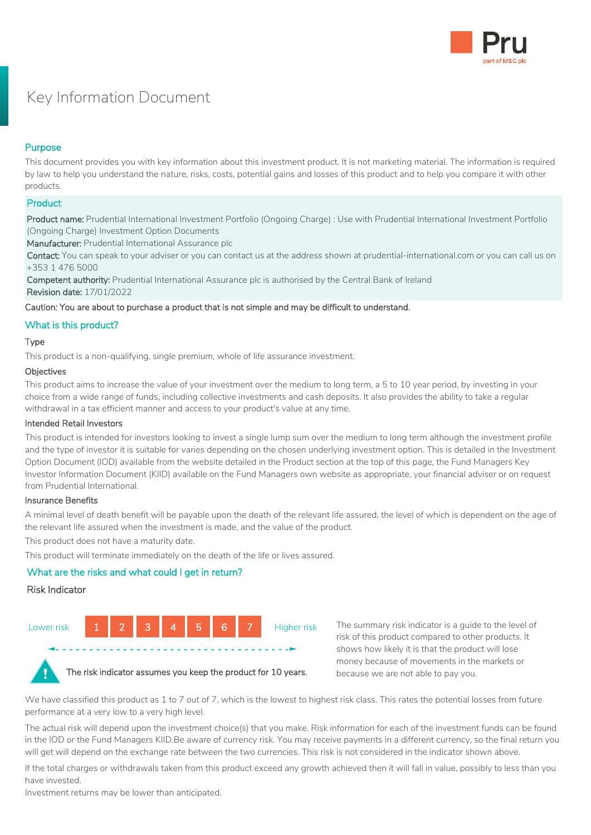

# Key Information Document

# Purpose

This document provides you with key information about this investment product. It is not marketing material. The information is required by law to help you understand the nature, risks, costs, potential gains and losses of this product and to help you compare it with other products.

# **Product**

Product name: Prudential International Investment Portfolio (Ongoing Charge) : Use with Prudential International Investment Portfolio (Ongoing Charge) Investment Option Documents

Manufacturer: Prudential International Assurance plc

Contact: You can speak to your adviser or you can contact us at the address shown at prudential-international.com or you can call us on +353 1 476 5000

Competent authority: Prudential International Assurance plc is authorised by the Central Bank of Ireland Revision date: 17/01/2022

## Caution: You are about to purchase a product that is not simple and may be difficult to understand.

# What is this product?

## Type

This product is a non-qualifying, single premium, whole of life assurance investment.

#### **Objectives**

This product aims to increase the value of your investment over the medium to long term, a 5 to 10 year period, by investing in your choice from a wide range of funds, including collective investments and cash deposits. It also provides the ability to take a regular withdrawal in a tax efficient manner and access to your product's value at any time.

#### Intended Retail Investors

This product is intended for investors looking to invest a single lump sum over the medium to long term although the investment profile and the type of investor it is suitable for varies depending on the chosen underlying investment option. This is detailed in the Investment Option Document (IOD) available from the website detailed in the Product section at the top of this page, the Fund Managers Key Investor Information Document (KIID) available on the Fund Managers own website as appropriate, your financial adviser or on request from Prudential International.

#### Insurance Benefits

A minimal level of death benefit will be payable upon the death of the relevant life assured, the level of which is dependent on the age of the relevant life assured when the investment is made, and the value of the product.

This product does not have a maturity date.

This product will terminate immediately on the death of the life or lives assured.

# What are the risks and what could I get in return?

#### Risk Indicator



 **◄- - - - - - - - - - - - - - - - - - - - - - - - - - - - - - - - - - -►**

The summary risk indicator is a guide to the level of risk of this product compared to other products. It shows how likely it is that the product will lose money because of movements in the markets or because we are not able to pay you.



The risk indicator assumes you keep the product for 10 years.

We have classified this product as 1 to 7 out of 7, which is the lowest to highest risk class. This rates the potential losses from future performance at a very low to a very high level.

The actual risk will depend upon the investment choice(s) that you make. Risk information for each of the investment funds can be found in the IOD or the Fund Managers KIID.Be aware of currency risk. You may receive payments in a different currency, so the final return you will get will depend on the exchange rate between the two currencies. This risk is not considered in the indicator shown above.

If the total charges or withdrawals taken from this product exceed any growth achieved then it will fall in value, possibly to less than you have invested.

Investment returns may be lower than anticipated.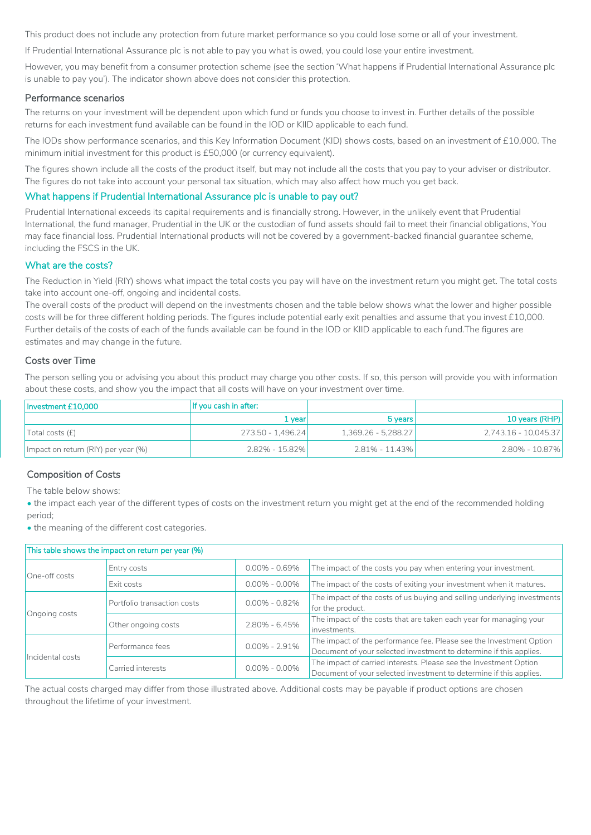This product does not include any protection from future market performance so you could lose some or all of your investment.

If Prudential International Assurance plc is not able to pay you what is owed, you could lose your entire investment.

However, you may benefit from a consumer protection scheme (see the section 'What happens if Prudential International Assurance plc is unable to pay you'). The indicator shown above does not consider this protection.

#### Performance scenarios

The returns on your investment will be dependent upon which fund or funds you choose to invest in. Further details of the possible returns for each investment fund available can be found in the IOD or KIID applicable to each fund.

The IODs show performance scenarios, and this Key Information Document (KID) shows costs, based on an investment of £10,000. The minimum initial investment for this product is £50,000 (or currency equivalent).

The figures shown include all the costs of the product itself, but may not include all the costs that you pay to your adviser or distributor. The figures do not take into account your personal tax situation, which may also affect how much you get back.

#### What happens if Prudential International Assurance plc is unable to pay out?

Prudential International exceeds its capital requirements and is financially strong. However, in the unlikely event that Prudential International, the fund manager, Prudential in the UK or the custodian of fund assets should fail to meet their financial obligations, You may face financial loss. Prudential International products will not be covered by a government-backed financial guarantee scheme, including the FSCS in the UK.

#### What are the costs?

The Reduction in Yield (RIY) shows what impact the total costs you pay will have on the investment return you might get. The total costs take into account one-off, ongoing and incidental costs.

The overall costs of the product will depend on the investments chosen and the table below shows what the lower and higher possible costs will be for three different holding periods. The figures include potential early exit penalties and assume that you invest £10,000. Further details of the costs of each of the funds available can be found in the IOD or KIID applicable to each fund.The figures are estimates and may change in the future.

#### Costs over Time

The person selling you or advising you about this product may charge you other costs. If so, this person will provide you with information about these costs, and show you the impact that all costs will have on your investment over time.

| Investment £10,000                  | If you cash in after: |                     |                      |
|-------------------------------------|-----------------------|---------------------|----------------------|
|                                     | 1 vear                | 5 years             | 10 years (RHP)       |
| Total costs (f)                     | 273.50 - 1.496.24     | 1,369.26 - 5,288.27 | 2.743.16 - 10.045.37 |
| Impact on return (RIY) per year (%) | 2.82% - 15.82%        | $2.81\% - 11.43\%$  | 2.80% - 10.87%       |

# Composition of Costs

The table below shows:

• the impact each year of the different types of costs on the investment return you might get at the end of the recommended holding period;

• the meaning of the different cost categories.

| This table shows the impact on return per year (%) |                                       |                   |                                                                                                                                           |  |  |
|----------------------------------------------------|---------------------------------------|-------------------|-------------------------------------------------------------------------------------------------------------------------------------------|--|--|
| One-off costs                                      | Entry costs                           | $0.00\% - 0.69\%$ | The impact of the costs you pay when entering your investment.                                                                            |  |  |
|                                                    | Exit costs                            | $0.00\% - 0.00\%$ | The impact of the costs of exiting your investment when it matures.                                                                       |  |  |
| Ongoing costs                                      | Portfolio transaction costs           | $0.00\% - 0.82\%$ | The impact of the costs of us buying and selling underlying investments<br>for the product.                                               |  |  |
|                                                    | Other ongoing costs                   | $2.80\% - 6.45\%$ | The impact of the costs that are taken each year for managing your<br>investments.                                                        |  |  |
| Incidental costs                                   | $0.00\% - 2.91\%$<br>Performance fees |                   | The impact of the performance fee. Please see the Investment Option<br>Document of your selected investment to determine if this applies. |  |  |
|                                                    | Carried interests                     | $0.00\% - 0.00\%$ | The impact of carried interests. Please see the Investment Option<br>Document of your selected investment to determine if this applies.   |  |  |

The actual costs charged may differ from those illustrated above. Additional costs may be payable if product options are chosen throughout the lifetime of your investment.